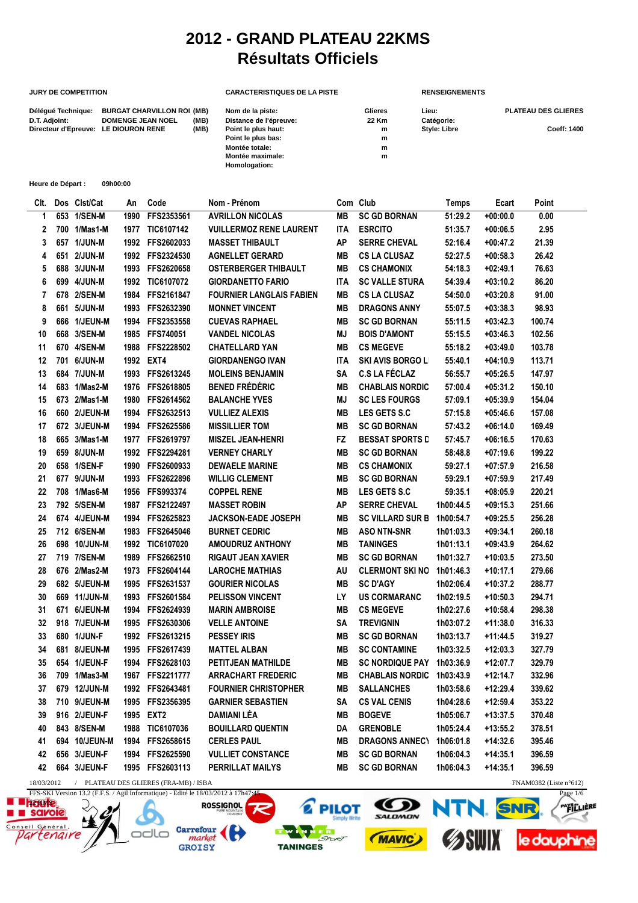## **2012 - GRAND PLATEAU 22KMS Résultats Officiels**

## **JURY DE COMPETITION CARACTERISTIQUES DE LA PISTE** RENSEIGNEMENTS

## Délégué Technique: BURGAT CHARVILLON ROI (MB) Nom de la piste: Glieres Lieu: Clieres Lieu: PLATEAU DES GLIERES **D.T. Adjoint: DOMENGE JEAN NOEL** (MB) Distance de l'épreuve: 22 Km Catégorie:<br>Directeur d'Epreuve: LE DIOURON RENE (MB) Point le plus haut: m Style: Libre Directeur d'Epreuve: LE DIOURON RENE (MB) Point le plus haut: m m Style: Libre Coeff: 1400<br>Point le plus bas: m m **Point le plus bas:** m<br> **Montée totale:** m<br>
m **Montée totale: m Montée maximale: Homologation:**

| Heure de Départ : | 09h00:00 |
|-------------------|----------|
|                   |          |

| CIt. |     | Dos Clst/Cat  | An   | Code                                             | Nom - Prénom                    |            | Com Club                 | Temps     | Ecart      | Point                            |
|------|-----|---------------|------|--------------------------------------------------|---------------------------------|------------|--------------------------|-----------|------------|----------------------------------|
| 1    | 653 | 1/SEN-M       | 1990 | FFS2353561                                       | <b>AVRILLON NICOLAS</b>         | <b>MB</b>  | <b>SC GD BORNAN</b>      | 51:29.2   | $+00:00.0$ | 0.00                             |
| 2    |     | 700 1/Mas1-M  | 1977 | TIC6107142                                       | <b>VUILLERMOZ RENE LAURENT</b>  | <b>ITA</b> | <b>ESRCITO</b>           | 51:35.7   | $+00:06.5$ | 2.95                             |
| 3    |     | 657 1/JUN-M   |      | 1992 FFS2602033                                  | <b>MASSET THIBAULT</b>          | <b>AP</b>  | <b>SERRE CHEVAL</b>      | 52:16.4   | $+00:47.2$ | 21.39                            |
| 4    |     | 651 2/JUN-M   |      | 1992 FFS2324530                                  | <b>AGNELLET GERARD</b>          | <b>MB</b>  | <b>CS LA CLUSAZ</b>      | 52:27.5   | $+00:58.3$ | 26.42                            |
| 5    |     | 688 3/JUN-M   | 1993 | FFS2620658                                       | <b>OSTERBERGER THIBAULT</b>     | <b>MB</b>  | <b>CS CHAMONIX</b>       | 54:18.3   | $+02:49.1$ | 76.63                            |
| 6    |     | 699 4/JUN-M   |      | 1992 TIC6107072                                  | <b>GIORDANETTO FARIO</b>        | <b>ITA</b> | <b>SC VALLE STURA</b>    | 54:39.4   | $+03:10.2$ | 86.20                            |
| 7    |     | 678 2/SEN-M   |      | 1984 FFS2161847                                  | <b>FOURNIER LANGLAIS FABIEN</b> | <b>MB</b>  | <b>CS LA CLUSAZ</b>      | 54:50.0   | $+03:20.8$ | 91.00                            |
| 8    |     | 661 5/JUN-M   |      | 1993 FFS2632390                                  | <b>MONNET VINCENT</b>           | <b>MB</b>  | <b>DRAGONS ANNY</b>      | 55:07.5   | $+03:38.3$ | 98.93                            |
| 9    |     | 666 1/JEUN-M  |      | 1994 FFS2353558                                  | <b>CUEVAS RAPHAEL</b>           | <b>MB</b>  | <b>SC GD BORNAN</b>      | 55:11.5   | $+03:42.3$ | 100.74                           |
| 10   |     | 668 3/SEN-M   |      | 1985 FFS740051                                   | <b>VANDEL NICOLAS</b>           | MJ         | <b>BOIS D'AMONT</b>      | 55:15.5   | $+03:46.3$ | 102.56                           |
| 11   |     | 670 4/SEN-M   | 1988 | FFS2228502                                       | <b>CHATELLARD YAN</b>           | MВ         | <b>CS MEGEVE</b>         | 55:18.2   | $+03:49.0$ | 103.78                           |
| 12   |     | 701 6/JUN-M   |      | 1992 EXT4                                        | <b>GIORDANENGO IVAN</b>         | <b>ITA</b> | <b>SKI AVIS BORGO LI</b> | 55:40.1   | $+04:10.9$ | 113.71                           |
| 13   |     | 684 7/JUN-M   | 1993 | FFS2613245                                       | <b>MOLEINS BENJAMIN</b>         | <b>SA</b>  | <b>C.S LA FÉCLAZ</b>     | 56:55.7   | $+05:26.5$ | 147.97                           |
| 14   |     | 683 1/Mas2-M  |      | 1976 FFS2618805                                  | <b>BENED FRÉDÉRIC</b>           | MВ         | <b>CHABLAIS NORDIC</b>   | 57:00.4   | $+05:31.2$ | 150.10                           |
| 15   |     | 673 2/Mas1-M  | 1980 | FFS2614562                                       | <b>BALANCHE YVES</b>            | MJ         | <b>SC LES FOURGS</b>     | 57:09.1   | $+05:39.9$ | 154.04                           |
| 16   |     | 660 2/JEUN-M  | 1994 | FFS2632513                                       | <b>VULLIEZ ALEXIS</b>           | <b>MB</b>  | LES GETS S.C             | 57:15.8   | $+05:46.6$ | 157.08                           |
| 17   |     | 672 3/JEUN-M  |      | 1994 FFS2625586                                  | <b>MISSILLIER TOM</b>           | <b>MB</b>  | <b>SC GD BORNAN</b>      | 57:43.2   | $+06:14.0$ | 169.49                           |
| 18   |     | 665 3/Mas1-M  |      | 1977 FFS2619797                                  | <b>MISZEL JEAN-HENRI</b>        | FZ.        | <b>BESSAT SPORTS D</b>   | 57:45.7   | $+06:16.5$ | 170.63                           |
| 19   |     | 659 8/JUN-M   |      | 1992 FFS2294281                                  | <b>VERNEY CHARLY</b>            | MВ         | <b>SC GD BORNAN</b>      | 58:48.8   | $+07:19.6$ | 199.22                           |
| 20   |     | 658 1/SEN-F   |      | 1990 FFS2600933                                  | <b>DEWAELE MARINE</b>           | <b>MB</b>  | <b>CS CHAMONIX</b>       | 59:27.1   | $+07:57.9$ | 216.58                           |
| 21   |     | 677 9/JUN-M   |      | 1993 FFS2622896                                  | <b>WILLIG CLEMENT</b>           | MВ         | <b>SC GD BORNAN</b>      | 59:29.1   | $+07:59.9$ | 217.49                           |
| 22   |     | 708 1/Mas6-M  |      | 1956 FFS993374                                   | <b>COPPEL RENE</b>              | <b>MB</b>  | LES GETS S.C             | 59:35.1   | $+08:05.9$ | 220.21                           |
| 23   |     | 792 5/SEN-M   |      | 1987 FFS2122497                                  | <b>MASSET ROBIN</b>             | <b>AP</b>  | <b>SERRE CHEVAL</b>      | 1h00:44.5 | $+09:15.3$ | 251.66                           |
| 24   |     | 674 4/JEUN-M  | 1994 | FFS2625823                                       | <b>JACKSON-EADE JOSEPH</b>      | <b>MB</b>  | <b>SC VILLARD SUR B</b>  | 1h00:54.7 | $+09:25.5$ | 256.28                           |
| 25   |     | 712 6/SEN-M   | 1983 | FFS2645046                                       | <b>BURNET CEDRIC</b>            | <b>MB</b>  | <b>ASO NTN-SNR</b>       | 1h01:03.3 | $+09:34.1$ | 260.18                           |
| 26   |     | 698 10/JUN-M  | 1992 | <b>TIC6107020</b>                                | <b>AMOUDRUZ ANTHONY</b>         | <b>MB</b>  | <b>TANINGES</b>          | 1h01:13.1 | $+09:43.9$ | 264.62                           |
| 27   |     | 719 7/SEN-M   | 1989 | FFS2662510                                       | <b>RIGAUT JEAN XAVIER</b>       | <b>MB</b>  | <b>SC GD BORNAN</b>      | 1h01:32.7 | $+10:03.5$ | 273.50                           |
| 28   |     | 676 2/Mas2-M  | 1973 | FFS2604144                                       | <b>LAROCHE MATHIAS</b>          | AU         | <b>CLERMONT SKI NO</b>   | 1h01:46.3 | +10:17.1   | 279.66                           |
| 29   |     | 682 5/JEUN-M  |      | 1995 FFS2631537                                  | <b>GOURIER NICOLAS</b>          | <b>MB</b>  | <b>SC D'AGY</b>          | 1h02:06.4 | +10:37.2   | 288.77                           |
| 30   |     | 669 11/JUN-M  | 1993 | FFS2601584                                       | <b>PELISSON VINCENT</b>         | LY         | <b>US CORMARANC</b>      | 1h02:19.5 | $+10:50.3$ | 294.71                           |
| 31   |     | 671 6/JEUN-M  |      | 1994 FFS2624939                                  | <b>MARIN AMBROISE</b>           | MВ         | <b>CS MEGEVE</b>         | 1h02:27.6 | +10:58.4   | 298.38                           |
| 32   |     | 918 7/JEUN-M  |      | 1995 FFS2630306                                  | <b>VELLE ANTOINE</b>            | SA         | <b>TREVIGNIN</b>         | 1h03:07.2 | +11:38.0   | 316.33                           |
| 33   |     | 680 1/JUN-F   |      | 1992 FFS2613215                                  | <b>PESSEY IRIS</b>              | MВ         | <b>SC GD BORNAN</b>      | 1h03:13.7 | $+11:44.5$ | 319.27                           |
| 34   |     | 681 8/JEUN-M  | 1995 | FFS2617439                                       | <b>MATTEL ALBAN</b>             | MВ         | <b>SC CONTAMINE</b>      | 1h03:32.5 | $+12:03.3$ | 327.79                           |
| 35   |     | 654 1/JEUN-F  | 1994 | FFS2628103                                       | <b>PETITJEAN MATHILDE</b>       | MВ         | <b>SC NORDIQUE PAY</b>   | 1h03:36.9 | +12:07.7   | 329.79                           |
| 36   |     | 709 1/Mas3-M  |      | 1967 FFS2211777                                  | <b>ARRACHART FREDERIC</b>       | MВ         | <b>CHABLAIS NORDIC</b>   | 1h03:43.9 | $+12:14.7$ | 332.96                           |
| 37   |     | 679 12/JUN-M  |      | 1992 FFS2643481                                  | <b>FOURNIER CHRISTOPHER</b>     | MВ         | <b>SALLANCHES</b>        | 1h03:58.6 | +12:29.4   | 339.62                           |
| 38   |     | 710 9/JEUN-M  |      | 1995 FFS2356395                                  | <b>GARNIER SEBASTIEN</b>        | SA         | <b>CS VAL CENIS</b>      | 1h04:28.6 | $+12:59.4$ | 353.22                           |
| 39   |     | 916 2/JEUN-F  |      | 1995 EXT2                                        | DAMIANI LÉA                     | MВ         | <b>BOGEVE</b>            | 1h05:06.7 | $+13:37.5$ | 370.48                           |
| 40   |     | 843 8/SEN-M   |      | 1988 TIC6107036                                  | <b>BOUILLARD QUENTIN</b>        | DA         | <b>GRENOBLE</b>          | 1h05:24.4 | $+13:55.2$ | 378.51                           |
| 41   |     | 694 10/JEUN-M |      | 1994 FFS2658615                                  | <b>CERLES PAUL</b>              | MВ         | <b>DRAGONS ANNECT</b>    | 1h06:01.8 | $+14:32.6$ | 395.46                           |
| 42   |     | 656 3/JEUN-F  |      | 1994 FFS2625590                                  | <b>VULLIET CONSTANCE</b>        | MВ         | <b>SC GD BORNAN</b>      | 1h06:04.3 | $+14:35.1$ | 396.59                           |
| 42   |     | 664 3/JEUN-F  |      | 1995 FFS2603113                                  | PERRILLAT MAILYS                | MВ         | <b>SC GD BORNAN</b>      | 1h06:04.3 | $+14:35.1$ | 396.59                           |
|      |     |               |      | 18/03/2012 / PLATEAU DES GLIERES (FRA-MB) / ISBA |                                 |            |                          |           |            | FNAM0382 (Liste $n^{\circ}612$ ) |

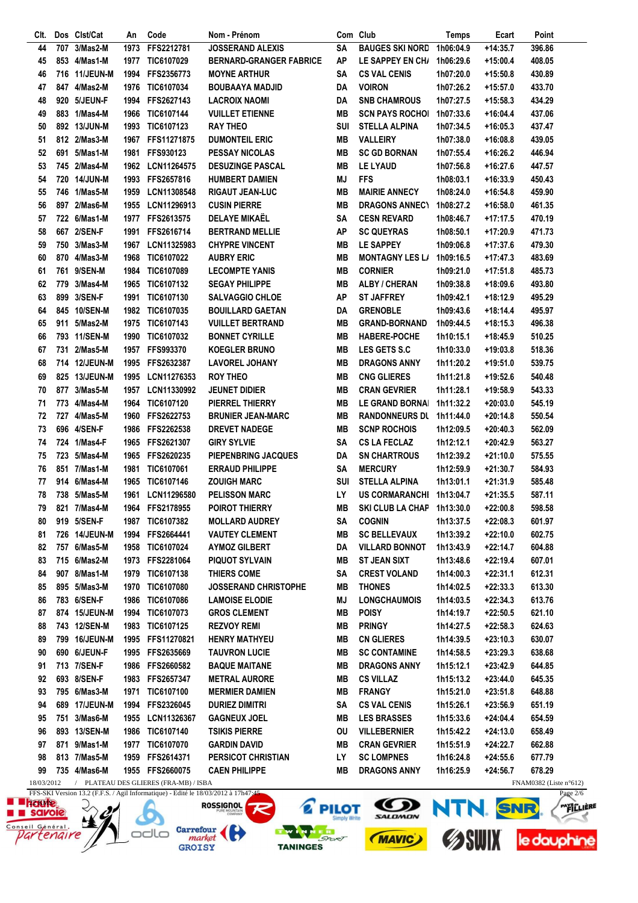| CIt.           |     | Dos Clst/Cat  | An   | Code                                                                               | Nom - Prénom                   |           | Com Club                | <b>Temps</b> | Ecart                                                                                                                                                                                                                                | Point                            |
|----------------|-----|---------------|------|------------------------------------------------------------------------------------|--------------------------------|-----------|-------------------------|--------------|--------------------------------------------------------------------------------------------------------------------------------------------------------------------------------------------------------------------------------------|----------------------------------|
| 44             | 707 | 3/Mas2-M      | 1973 | FFS2212781                                                                         | <b>JOSSERAND ALEXIS</b>        | SA        | <b>BAUGES SKI NORD</b>  | 1h06:04.9    | $+14:35.7$                                                                                                                                                                                                                           | 396.86                           |
| 45             |     | 853 4/Mas1-M  | 1977 | TIC6107029                                                                         | <b>BERNARD-GRANGER FABRICE</b> | <b>AP</b> | LE SAPPEY EN CH/        | 1h06:29.6    | +15:00.4                                                                                                                                                                                                                             | 408.05                           |
| 46             |     | 716 11/JEUN-M | 1994 | FFS2356773                                                                         | <b>MOYNE ARTHUR</b>            | <b>SA</b> | <b>CS VAL CENIS</b>     | 1h07:20.0    | +15:50.8                                                                                                                                                                                                                             | 430.89                           |
| 47             |     | 847 4/Mas2-M  | 1976 | <b>TIC6107034</b>                                                                  | <b>BOUBAAYA MADJID</b>         | DA        | <b>VOIRON</b>           | 1h07:26.2    | $+15:57.0$                                                                                                                                                                                                                           | 433.70                           |
| 48             |     | 920 5/JEUN-F  | 1994 | <b>FFS2627143</b>                                                                  | <b>LACROIX NAOMI</b>           | DA        | <b>SNB CHAMROUS</b>     | 1h07:27.5    | $+15:58.3$                                                                                                                                                                                                                           | 434.29                           |
| 49             |     | 883 1/Mas4-M  | 1966 | TIC6107144                                                                         | <b>VUILLET ETIENNE</b>         | MВ        | <b>SCN PAYS ROCHOL</b>  | 1h07:33.6    | +16:04.4                                                                                                                                                                                                                             | 437.06                           |
| 50             |     | 892 13/JUN-M  | 1993 | TIC6107123                                                                         | <b>RAY THEO</b>                | SUI       | <b>STELLA ALPINA</b>    | 1h07:34.5    | $+16:05.3$                                                                                                                                                                                                                           | 437.47                           |
| 51             |     | 812 2/Mas3-M  |      | 1967 FFS11271875                                                                   | <b>DUMONTEIL ERIC</b>          | MВ        | <b>VALLEIRY</b>         | 1h07:38.0    | $+16:08.8$                                                                                                                                                                                                                           | 439.05                           |
| 52             |     | 691 5/Mas1-M  |      | 1981 FFS930123                                                                     | <b>PESSAY NICOLAS</b>          | MВ        | <b>SC GD BORNAN</b>     |              |                                                                                                                                                                                                                                      | 446.94                           |
|                |     |               |      |                                                                                    |                                |           |                         | 1h07:55.4    | +16:26.2                                                                                                                                                                                                                             |                                  |
| 53             |     | 745 2/Mas4-M  |      | 1962 LCN11264575                                                                   | <b>DESUZINGE PASCAL</b>        | MВ        | LE LYAUD                | 1h07:56.8    | +16:27.6                                                                                                                                                                                                                             | 447.57                           |
| 54             |     | 720 14/JUN-M  | 1993 | FFS2657816                                                                         | <b>HUMBERT DAMIEN</b>          | MJ        | <b>FFS</b>              | 1h08:03.1    | $+16:33.9$                                                                                                                                                                                                                           | 450.43                           |
| 55             |     | 746 1/Mas5-M  | 1959 | LCN11308548                                                                        | <b>RIGAUT JEAN-LUC</b>         | MВ        | <b>MAIRIE ANNECY</b>    | 1h08:24.0    | +16:54.8                                                                                                                                                                                                                             | 459.90                           |
| 56             |     | 897 2/Mas6-M  | 1955 | LCN11296913                                                                        | <b>CUSIN PIERRE</b>            | MВ        | <b>DRAGONS ANNECY</b>   | 1h08:27.2    | +16:58.0                                                                                                                                                                                                                             | 461.35                           |
| 57             |     | 722 6/Mas1-M  |      | 1977 FFS2613575                                                                    | <b>DELAYE MIKAËL</b>           | SA        | <b>CESN REVARD</b>      | 1h08:46.7    | $+17:17.5$                                                                                                                                                                                                                           | 470.19                           |
| 58             |     | 667 2/SEN-F   | 1991 | FFS2616714                                                                         | <b>BERTRAND MELLIE</b>         | <b>AP</b> | <b>SC QUEYRAS</b>       | 1h08:50.1    | +17:20.9                                                                                                                                                                                                                             | 471.73                           |
| 59             |     | 750 3/Mas3-M  | 1967 | LCN11325983                                                                        | <b>CHYPRE VINCENT</b>          | <b>MB</b> | <b>LE SAPPEY</b>        | 1h09:06.8    | $+17:37.6$                                                                                                                                                                                                                           | 479.30                           |
| 60             |     | 870 4/Mas3-M  | 1968 | TIC6107022                                                                         | <b>AUBRY ERIC</b>              | MВ        | <b>MONTAGNY LES L/</b>  | 1h09:16.5    | +17:47.3                                                                                                                                                                                                                             | 483.69                           |
| 61             |     | 761 9/SEN-M   | 1984 | TIC6107089                                                                         | <b>LECOMPTE YANIS</b>          | MВ        | <b>CORNIER</b>          | 1h09:21.0    | $+17:51.8$                                                                                                                                                                                                                           | 485.73                           |
| 62             |     | 779 3/Mas4-M  | 1965 | TIC6107132                                                                         | <b>SEGAY PHILIPPE</b>          | MВ        | <b>ALBY / CHERAN</b>    | 1h09:38.8    | +18:09.6                                                                                                                                                                                                                             | 493.80                           |
| 63             |     | 899 3/SEN-F   |      | 1991 TIC6107130                                                                    | <b>SALVAGGIO CHLOE</b>         | AP        | <b>ST JAFFREY</b>       | 1h09:42.1    | +18:12.9                                                                                                                                                                                                                             | 495.29                           |
| 64             |     | 845 10/SEN-M  |      | 1982 TIC6107035                                                                    | <b>BOUILLARD GAETAN</b>        | DA        | <b>GRENOBLE</b>         | 1h09:43.6    | +18:14.4                                                                                                                                                                                                                             | 495.97                           |
|                |     |               |      |                                                                                    |                                |           |                         |              |                                                                                                                                                                                                                                      |                                  |
| 65             |     | 911 5/Mas2-M  |      | 1975 TIC6107143                                                                    | <b>VUILLET BERTRAND</b>        | MВ        | <b>GRAND-BORNAND</b>    | 1h09:44.5    | $+18:15.3$                                                                                                                                                                                                                           | 496.38                           |
| 66             |     | 793 11/SEN-M  | 1990 | TIC6107032                                                                         | <b>BONNET CYRILLE</b>          | MВ        | <b>HABERE-POCHE</b>     | 1h10:15.1    | +18:45.9                                                                                                                                                                                                                             | 510.25                           |
| 67             |     | 731 2/Mas5-M  | 1957 | <b>FFS993370</b>                                                                   | <b>KOEGLER BRUNO</b>           | MВ        | LES GETS S.C            | 1h10:33.0    | +19:03.8                                                                                                                                                                                                                             | 518.36                           |
| 68             |     | 714 12/JEUN-M |      | 1995 FFS2632387                                                                    | <b>LAVOREL JOHANY</b>          | MВ        | <b>DRAGONS ANNY</b>     | 1h11:20.2    | +19:51.0                                                                                                                                                                                                                             | 539.75                           |
| 69             |     | 825 13/JEUN-M |      | 1995 LCN11276353                                                                   | <b>ROY THEO</b>                | MВ        | <b>CNG GLIERES</b>      | 1h11:21.8    | +19:52.6                                                                                                                                                                                                                             | 540.48                           |
| 70             |     | 877 3/Mas5-M  | 1957 | LCN11330992                                                                        | <b>JEUNET DIDIER</b>           | MВ        | <b>CRAN GEVRIER</b>     | 1h11:28.1    | +19:58.9                                                                                                                                                                                                                             | 543.33                           |
| 71             |     | 773 4/Mas4-M  | 1964 | <b>TIC6107120</b>                                                                  | PIERREL THIERRY                | MВ        | <b>LE GRAND BORNAI</b>  | 1h11:32.2    | $+20:03.0$                                                                                                                                                                                                                           | 545.19                           |
| 72             |     | 727 4/Mas5-M  | 1960 | FFS2622753                                                                         | <b>BRUNIER JEAN-MARC</b>       | MВ        | <b>RANDONNEURS DL</b>   | 1h11:44.0    | $+20:14.8$                                                                                                                                                                                                                           | 550.54                           |
| 73             |     | 696 4/SEN-F   |      | 1986 FFS2262538                                                                    | <b>DREVET NADEGE</b>           | MВ        | <b>SCNP ROCHOIS</b>     | 1h12:09.5    | $+20:40.3$                                                                                                                                                                                                                           | 562.09                           |
| 74             |     | 724 1/Mas4-F  | 1965 | FFS2621307                                                                         | <b>GIRY SYLVIE</b>             | SΑ        | <b>CS LA FECLAZ</b>     | 1h12:12.1    | +20:42.9                                                                                                                                                                                                                             | 563.27                           |
| 75             |     | 723 5/Mas4-M  | 1965 | FFS2620235                                                                         | <b>PIEPENBRING JACQUES</b>     | DA        | <b>SN CHARTROUS</b>     | 1h12:39.2    | $+21:10.0$                                                                                                                                                                                                                           | 575.55                           |
|                |     | 851 7/Mas1-M  |      |                                                                                    |                                |           | <b>MERCURY</b>          |              |                                                                                                                                                                                                                                      |                                  |
| 76             |     |               | 1981 | TIC6107061                                                                         | <b>ERRAUD PHILIPPE</b>         | SΑ        |                         | 1h12:59.9    | +21:30.7                                                                                                                                                                                                                             | 584.93                           |
| 77             |     | 914 6/Mas4-M  | 1965 | TIC6107146                                                                         | <b>ZOUIGH MARC</b>             | SUI       | <b>STELLA ALPINA</b>    | 1h13:01.1    | +21:31.9                                                                                                                                                                                                                             | 585.48                           |
| 78             |     | 738 5/Mas5-M  | 1961 | LCN11296580                                                                        | <b>PELISSON MARC</b>           | LY        | US CORMARANCHI          | 1h13:04.7    | $+21:35.5$                                                                                                                                                                                                                           | 587.11                           |
| 79             |     | 821 7/Mas4-M  | 1964 | FFS2178955                                                                         | <b>POIROT THIERRY</b>          | MВ        | <b>SKI CLUB LA CHAP</b> | 1h13:30.0    | $+22:00.8$                                                                                                                                                                                                                           | 598.58                           |
| 80             |     | 919 5/SEN-F   |      | 1987 TIC6107382                                                                    | <b>MOLLARD AUDREY</b>          | SΑ        | <b>COGNIN</b>           | 1h13:37.5    | $+22:08.3$                                                                                                                                                                                                                           | 601.97                           |
| 81             |     | 726 14/JEUN-M |      | 1994 FFS2664441                                                                    | <b>VAUTEY CLEMENT</b>          | MВ        | <b>SC BELLEVAUX</b>     | 1h13:39.2    | +22:10.0                                                                                                                                                                                                                             | 602.75                           |
| 82             |     | 757 6/Mas5-M  |      | 1958 TIC6107024                                                                    | <b>AYMOZ GILBERT</b>           | DA        | <b>VILLARD BONNOT</b>   | 1h13:43.9    | +22:14.7                                                                                                                                                                                                                             | 604.88                           |
| 83             |     | 715 6/Mas2-M  |      | 1973 FFS2281064                                                                    | <b>PIQUOT SYLVAIN</b>          | MВ        | <b>ST JEAN SIXT</b>     | 1h13:48.6    | $+22:19.4$                                                                                                                                                                                                                           | 607.01                           |
| 84             |     | 907 8/Mas1-M  | 1979 | <b>TIC6107138</b>                                                                  | THIERS COME                    | SA        | <b>CREST VOLAND</b>     | 1h14:00.3    | $+22:31.1$                                                                                                                                                                                                                           | 612.31                           |
| 85             |     | 895 5/Mas3-M  |      | 1970 TIC6107080                                                                    | <b>JOSSERAND CHRISTOPHE</b>    | MВ        | <b>THONES</b>           | 1h14:02.5    | $+22:33.3$                                                                                                                                                                                                                           | 613.30                           |
| 86             |     | 783 6/SEN-F   | 1986 | <b>TIC6107086</b>                                                                  | <b>LAMOISE ELODIE</b>          | ΜJ        | <b>LONGCHAUMOIS</b>     | 1h14:03.5    | $+22:34.3$                                                                                                                                                                                                                           | 613.76                           |
| 87             |     | 874 15/JEUN-M |      | 1994 TIC6107073                                                                    | <b>GROS CLEMENT</b>            | MВ        | <b>POISY</b>            | 1h14:19.7    | $+22:50.5$                                                                                                                                                                                                                           | 621.10                           |
|                |     |               |      |                                                                                    |                                |           |                         |              |                                                                                                                                                                                                                                      |                                  |
| 88             |     | 743 12/SEN-M  |      | 1983 TIC6107125                                                                    | <b>REZVOY REMI</b>             | MВ        | <b>PRINGY</b>           | 1h14:27.5    | $+22:58.3$                                                                                                                                                                                                                           | 624.63                           |
| 89             |     | 799 16/JEUN-M |      | 1995 FFS11270821                                                                   | <b>HENRY MATHYEU</b>           | MВ        | <b>CN GLIERES</b>       | 1h14:39.5    | $+23:10.3$                                                                                                                                                                                                                           | 630.07                           |
| 90             |     | 690 6/JEUN-F  |      | 1995 FFS2635669                                                                    | <b>TAUVRON LUCIE</b>           | MВ        | <b>SC CONTAMINE</b>     | 1h14:58.5    | $+23:29.3$                                                                                                                                                                                                                           | 638.68                           |
| 91             |     | 713 7/SEN-F   |      | 1986 FFS2660582                                                                    | <b>BAQUE MAITANE</b>           | MВ        | <b>DRAGONS ANNY</b>     | 1h15:12.1    | +23:42.9                                                                                                                                                                                                                             | 644.85                           |
| 92             |     | 693 8/SEN-F   |      | 1983 FFS2657347                                                                    | <b>METRAL AURORE</b>           | MВ        | <b>CS VILLAZ</b>        | 1h15:13.2    | $+23:44.0$                                                                                                                                                                                                                           | 645.35                           |
| 93             |     | 795 6/Mas3-M  |      | 1971 TIC6107100                                                                    | <b>MERMIER DAMIEN</b>          | MВ        | <b>FRANGY</b>           | 1h15:21.0    | $+23:51.8$                                                                                                                                                                                                                           | 648.88                           |
| 94             |     | 689 17/JEUN-M |      | 1994 FFS2326045                                                                    | <b>DURIEZ DIMITRI</b>          | SΑ        | <b>CS VAL CENIS</b>     | 1h15:26.1    | $+23:56.9$                                                                                                                                                                                                                           | 651.19                           |
| 95             |     | 751 3/Mas6-M  |      | 1955 LCN11326367                                                                   | <b>GAGNEUX JOEL</b>            | MВ        | <b>LES BRASSES</b>      | 1h15:33.6    | $+24:04.4$                                                                                                                                                                                                                           | 654.59                           |
| 96             |     | 893 13/SEN-M  |      | 1986 TIC6107140                                                                    | <b>TSIKIS PIERRE</b>           | ΟU        | <b>VILLEBERNIER</b>     | 1h15:42.2    | $+24:13.0$                                                                                                                                                                                                                           | 658.49                           |
| 97             |     | 871 9/Mas1-M  |      | 1977 TIC6107070                                                                    | <b>GARDIN DAVID</b>            | MВ        | <b>CRAN GEVRIER</b>     | 1h15:51.9    | +24:22.7                                                                                                                                                                                                                             | 662.88                           |
| 98             |     | 813 7/Mas5-M  |      | 1959 FFS2614371                                                                    | PERSICOT CHRISTIAN             | LY        | <b>SC LOMPNES</b>       | 1h16:24.8    | $+24:55.6$                                                                                                                                                                                                                           | 677.79                           |
| 99             |     | 735 4/Mas6-M  |      | 1955 FFS2660075                                                                    | <b>CAEN PHILIPPE</b>           | MВ        | <b>DRAGONS ANNY</b>     | 1h16:25.9    | $+24:56.7$                                                                                                                                                                                                                           | 678.29                           |
| 18/03/2012     |     |               |      | / PLATEAU DES GLIERES (FRA-MB) / ISBA                                              |                                |           |                         |              |                                                                                                                                                                                                                                      | FNAM0382 (Liste $n^{\circ}612$ ) |
|                |     |               |      | FFS-SKI Version 13.2 (F.F.S. / Agil Informatique) - Edité le 18/03/2012 à 17h47;45 |                                |           |                         |              |                                                                                                                                                                                                                                      | Page $2/6$                       |
| <b>RATTLES</b> |     | $\bigcap$     |      |                                                                                    |                                |           | $\sqrt{2}$              |              | <b>Contract Contract Contract Contract Contract Contract Contract Contract Contract Contract Contract Contract Contract Contract Contract Contract Contract Contract Contract Contract Contract Contract Contract Contract Contr</b> | $\overline{\phantom{a}}$         |

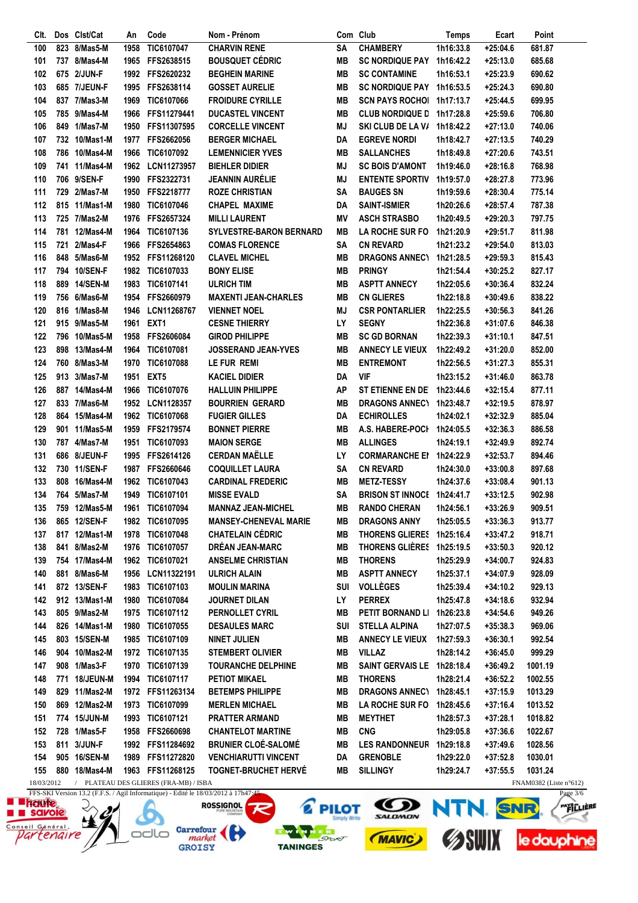| Clt.       |     | Dos Clst/Cat  | An   | Code                                  | Nom - Prénom                 |            | Com Club                  | Temps     | Ecart      | Point                  |
|------------|-----|---------------|------|---------------------------------------|------------------------------|------------|---------------------------|-----------|------------|------------------------|
| 100        | 823 | 8/Mas5-M      | 1958 | TIC6107047                            | <b>CHARVIN RENE</b>          | <b>SA</b>  | <b>CHAMBERY</b>           | 1h16:33.8 | $+25:04.6$ | 681.87                 |
| 101        |     | 737 8/Mas4-M  | 1965 | FFS2638515                            | <b>BOUSQUET CÉDRIC</b>       | MВ         | <b>SC NORDIQUE PAY</b>    | 1h16:42.2 | $+25:13.0$ | 685.68                 |
| 102        |     | 675 2/JUN-F   | 1992 | FFS2620232                            | <b>BEGHEIN MARINE</b>        | <b>MB</b>  | <b>SC CONTAMINE</b>       | 1h16:53.1 | $+25:23.9$ | 690.62                 |
| 103        |     | 685 7/JEUN-F  |      | 1995 FFS2638114                       | <b>GOSSET AURELIE</b>        | MВ         | SC NORDIQUE PAY 1h16:53.5 |           | $+25:24.3$ | 690.80                 |
| 104        |     | 837 7/Mas3-M  | 1969 | <b>TIC6107066</b>                     | <b>FROIDURE CYRILLE</b>      | MВ         | SCN PAYS ROCHOL 1h17:13.7 |           | +25:44.5   | 699.95                 |
| 105        |     | 785 9/Mas4-M  | 1966 | FFS11279441                           | <b>DUCASTEL VINCENT</b>      | MВ         | <b>CLUB NORDIQUE D</b>    | 1h17:28.8 | $+25:59.6$ | 706.80                 |
| 106        |     | 849 1/Mas7-M  | 1950 | FFS11307595                           | <b>CORCELLE VINCENT</b>      | MJ         | SKI CLUB DE LA V/         | 1h18:42.2 | $+27:13.0$ | 740.06                 |
| 107        |     | 732 10/Mas1-M | 1977 | FFS2662056                            | <b>BERGER MICHAEL</b>        | DA         | <b>EGREVE NORDI</b>       | 1h18:42.7 | $+27:13.5$ | 740.29                 |
|            |     |               |      |                                       | <b>LEMENNICIER YVES</b>      |            |                           |           |            |                        |
| 108        |     | 786 10/Mas4-M | 1966 | <b>TIC6107092</b>                     |                              | <b>MB</b>  | <b>SALLANCHES</b>         | 1h18:49.8 | $+27:20.6$ | 743.51                 |
| 109        |     | 741 11/Mas4-M |      | 1962 LCN11273957                      | <b>BIEHLER DIDIER</b>        | MJ         | <b>SC BOIS D'AMONT</b>    | 1h19:46.0 | $+28:16.8$ | 768.98                 |
| 110        |     | 706 9/SEN-F   |      | 1990 FFS2322731                       | <b>JEANNIN AURÉLIE</b>       | MJ         | <b>ENTENTE SPORTIV</b>    | 1h19:57.0 | +28:27.8   | 773.96                 |
| 111        |     | 729 2/Mas7-M  | 1950 | FFS2218777                            | <b>ROZE CHRISTIAN</b>        | <b>SA</b>  | <b>BAUGES SN</b>          | 1h19:59.6 | $+28:30.4$ | 775.14                 |
| 112        |     | 815 11/Mas1-M | 1980 | TIC6107046                            | <b>CHAPEL MAXIME</b>         | DA         | <b>SAINT-ISMIER</b>       | 1h20:26.6 | $+28:57.4$ | 787.38                 |
| 113        |     | 725 7/Mas2-M  |      | 1976 FFS2657324                       | <b>MILLI LAURENT</b>         | ΜV         | <b>ASCH STRASBO</b>       | 1h20:49.5 | $+29:20.3$ | 797.75                 |
| 114        |     | 781 12/Mas4-M | 1964 | TIC6107136                            | SYLVESTRE-BARON BERNARD      | MВ         | <b>LA ROCHE SUR FO</b>    | 1h21:20.9 | $+29:51.7$ | 811.98                 |
| 115        |     | 721 2/Mas4-F  | 1966 | FFS2654863                            | <b>COMAS FLORENCE</b>        | SΑ         | <b>CN REVARD</b>          | 1h21:23.2 | +29:54.0   | 813.03                 |
| 116        |     | 848 5/Mas6-M  | 1952 | FFS11268120                           | <b>CLAVEL MICHEL</b>         | MВ         | <b>DRAGONS ANNECY</b>     | 1h21:28.5 | $+29:59.3$ | 815.43                 |
| 117        |     | 794 10/SEN-F  |      | 1982 TIC6107033                       | <b>BONY ELISE</b>            | MВ         | <b>PRINGY</b>             | 1h21:54.4 | +30:25.2   | 827.17                 |
| 118        |     | 889 14/SEN-M  | 1983 | TIC6107141                            | <b>ULRICH TIM</b>            | MВ         | <b>ASPTT ANNECY</b>       | 1h22:05.6 | $+30:36.4$ | 832.24                 |
| 119        |     | 756 6/Mas6-M  | 1954 | FFS2660979                            | <b>MAXENTI JEAN-CHARLES</b>  | MВ         | <b>CN GLIERES</b>         | 1h22:18.8 | $+30:49.6$ | 838.22                 |
| 120        |     | 816 1/Mas8-M  | 1946 | LCN11268767                           | <b>VIENNET NOEL</b>          | MJ         | <b>CSR PONTARLIER</b>     | 1h22:25.5 | $+30:56.3$ | 841.26                 |
| 121        |     | 915 9/Mas5-M  | 1961 | EXT1                                  | <b>CESNE THIERRY</b>         | LY         | <b>SEGNY</b>              | 1h22:36.8 | +31:07.6   | 846.38                 |
| 122        |     | 796 10/Mas5-M | 1958 | FFS2606084                            | <b>GIROD PHILIPPE</b>        | MВ         | <b>SC GD BORNAN</b>       | 1h22:39.3 | +31:10.1   | 847.51                 |
| 123        |     | 898 13/Mas4-M | 1964 | TIC6107081                            | JOSSERAND JEAN-YVES          | MВ         | <b>ANNECY LE VIEUX</b>    | 1h22:49.2 | $+31:20.0$ | 852.00                 |
| 124        |     | 760 8/Mas3-M  |      | TIC6107088                            | LE FUR REMI                  | MВ         | <b>ENTREMONT</b>          |           |            |                        |
|            |     |               | 1970 |                                       |                              |            |                           | 1h22:56.5 | $+31:27.3$ | 855.31                 |
| 125        |     | 913 3/Mas7-M  | 1951 | EXT <sub>5</sub>                      | <b>KACIEL DIDIER</b>         | DA         | <b>VIF</b>                | 1h23:15.2 | +31:46.0   | 863.78                 |
| 126        |     | 887 14/Mas4-M | 1966 | <b>TIC6107076</b>                     | <b>HALLUIN PHILIPPE</b>      | AP         | ST ETIENNE EN DE          | 1h23:44.6 | $+32:15.4$ | 877.11                 |
| 127        |     | 833 7/Mas6-M  | 1952 | <b>LCN1128357</b>                     | <b>BOURRIEN GERARD</b>       | MВ         | <b>DRAGONS ANNECY</b>     | 1h23:48.7 | $+32:19.5$ | 878.97                 |
| 128        |     | 864 15/Mas4-M |      | 1962 TIC6107068                       | <b>FUGIER GILLES</b>         | DA         | <b>ECHIROLLES</b>         | 1h24:02.1 | +32:32.9   | 885.04                 |
| 129        |     | 901 11/Mas5-M | 1959 | FFS2179574                            | <b>BONNET PIERRE</b>         | MВ         | <b>A.S. HABERE-POCI</b>   | 1h24:05.5 | $+32:36.3$ | 886.58                 |
| 130        |     | 787 4/Mas7-M  | 1951 | TIC6107093                            | <b>MAION SERGE</b>           | MВ         | <b>ALLINGES</b>           | 1h24:19.1 | $+32:49.9$ | 892.74                 |
| 131        |     | 686 8/JEUN-F  | 1995 | FFS2614126                            | <b>CERDAN MAËLLE</b>         | LY         | <b>CORMARANCHE EI</b>     | 1h24:22.9 | $+32:53.7$ | 894.46                 |
| 132        |     | 730 11/SEN-F  | 1987 | FFS2660646                            | <b>COQUILLET LAURA</b>       | SΑ         | <b>CN REVARD</b>          | 1h24:30.0 | $+33:00.8$ | 897.68                 |
| 133        |     | 808 16/Mas4-M | 1962 | TIC6107043                            | <b>CARDINAL FREDERIC</b>     | MВ         | <b>METZ-TESSY</b>         | 1h24:37.6 | $+33:08.4$ | 901.13                 |
| 134        |     | 764 5/Mas7-M  | 1949 | TIC6107101                            | <b>MISSE EVALD</b>           | <b>SA</b>  | <b>BRISON ST INNOCE</b>   | 1h24:41.7 | $+33:12.5$ | 902.98                 |
| 135        |     | 759 12/Mas5-M | 1961 | TIC6107094                            | <b>MANNAZ JEAN-MICHEL</b>    | MВ         | <b>RANDO CHERAN</b>       | 1h24:56.1 | $+33:26.9$ | 909.51                 |
| 136        |     | 865 12/SEN-F  |      | 1982 TIC6107095                       | <b>MANSEY-CHENEVAL MARIE</b> | MВ         | <b>DRAGONS ANNY</b>       | 1h25:05.5 | $+33:36.3$ | 913.77                 |
| 137        |     | 817 12/Mas1-M |      | 1978 TIC6107048                       | <b>CHATELAIN CÉDRIC</b>      | MВ         | THORENS GLIERES 1h25:16.4 |           | $+33:47.2$ | 918.71                 |
| 138        | 841 | 8/Mas2-M      |      | 1976 TIC6107057                       | <b>DRÉAN JEAN-MARC</b>       | MВ         | THORENS GLIÈRES 1h25:19.5 |           | $+33:50.3$ | 920.12                 |
| 139        |     | 754 17/Mas4-M |      | 1962 TIC6107021                       | <b>ANSELME CHRISTIAN</b>     | MВ         | <b>THORENS</b>            | 1h25:29.9 | $+34:00.7$ | 924.83                 |
| 140        |     | 881 8/Mas6-M  | 1956 | LCN11322191                           | <b>ULRICH ALAIN</b>          | MВ         | <b>ASPTT ANNECY</b>       | 1h25:37.1 | $+34:07.9$ | 928.09                 |
|            |     |               |      |                                       |                              |            |                           |           |            |                        |
| 141        |     | 872 13/SEN-F  |      | 1983 TIC6107103                       | <b>MOULIN MARINA</b>         | <b>SUI</b> | <b>VOLLÈGES</b>           | 1h25:39.4 | $+34:10.2$ | 929.13                 |
| 142        |     | 912 13/Mas1-M | 1980 | <b>TIC6107084</b>                     | <b>JOURNET DILAN</b>         | LY         | <b>PERREX</b>             | 1h25:47.8 | $+34:18.6$ | 932.94                 |
| 143        |     | 805 9/Mas2-M  |      | 1975 TIC6107112                       | PERNOLLET CYRIL              | MВ         | PETIT BORNAND LI          | 1h26:23.8 | $+34:54.6$ | 949.26                 |
| 144        |     | 826 14/Mas1-M |      | 1980 TIC6107055                       | <b>DESAULES MARC</b>         | SUI        | <b>STELLA ALPINA</b>      | 1h27:07.5 | $+35:38.3$ | 969.06                 |
| 145        |     | 803 15/SEN-M  |      | 1985 TIC6107109                       | <b>NINET JULIEN</b>          | MВ         | <b>ANNECY LE VIEUX</b>    | 1h27:59.3 | $+36:30.1$ | 992.54                 |
| 146        |     | 904 10/Mas2-M |      | 1972 TIC6107135                       | <b>STEMBERT OLIVIER</b>      | MВ         | <b>VILLAZ</b>             | 1h28:14.2 | $+36:45.0$ | 999.29                 |
| 147        |     | 908 1/Mas3-F  | 1970 | <b>TIC6107139</b>                     | <b>TOURANCHE DELPHINE</b>    | MВ         | <b>SAINT GERVAIS LE</b>   | 1h28:18.4 | $+36:49.2$ | 1001.19                |
| 148        |     | 771 18/JEUN-M |      | 1994 TIC6107117                       | <b>PETIOT MIKAEL</b>         | MВ         | <b>THORENS</b>            | 1h28:21.4 | $+36:52.2$ | 1002.55                |
| 149        |     | 829 11/Mas2-M |      | 1972 FFS11263134                      | <b>BETEMPS PHILIPPE</b>      | MВ         | DRAGONS ANNEC\ 1h28:45.1  |           | $+37:15.9$ | 1013.29                |
| 150        |     | 869 12/Mas2-M |      | 1973 TIC6107099                       | <b>MERLEN MICHAEL</b>        | MВ         | <b>LA ROCHE SUR FO</b>    | 1h28:45.6 | $+37:16.4$ | 1013.52                |
| 151        |     | 774 15/JUN-M  |      | 1993 TIC6107121                       | <b>PRATTER ARMAND</b>        | MВ         | <b>MEYTHET</b>            | 1h28:57.3 | +37:28.1   | 1018.82                |
| 152        |     | 728 1/Mas5-F  |      | 1958 FFS2660698                       | <b>CHANTELOT MARTINE</b>     | MВ         | <b>CNG</b>                | 1h29:05.8 | $+37:36.6$ | 1022.67                |
| 153        |     | 811 3/JUN-F   |      | 1992 FFS11284692                      | <b>BRUNIER CLOÉ-SALOMÉ</b>   | MВ         | <b>LES RANDONNEUR</b>     | 1h29:18.8 | $+37:49.6$ | 1028.56                |
| 154        |     | 905 16/SEN-M  |      | 1989 FFS11272820                      | <b>VENCHIARUTTI VINCENT</b>  | DA         | <b>GRENOBLE</b>           | 1h29:22.0 | $+37:52.8$ | 1030.01                |
| 155        |     | 880 18/Mas4-M |      | 1963 FFS11268125                      | <b>TOGNET-BRUCHET HERVE</b>  | MВ         | <b>SILLINGY</b>           | 1h29:24.7 | $+37:55.5$ | 1031.24                |
| 18/03/2012 |     |               |      | / PLATEAU DES GLIERES (FRA-MB) / ISBA |                              |            |                           |           |            | FNAM0382 (Liste n°612) |
|            |     |               |      |                                       |                              |            |                           |           |            |                        |

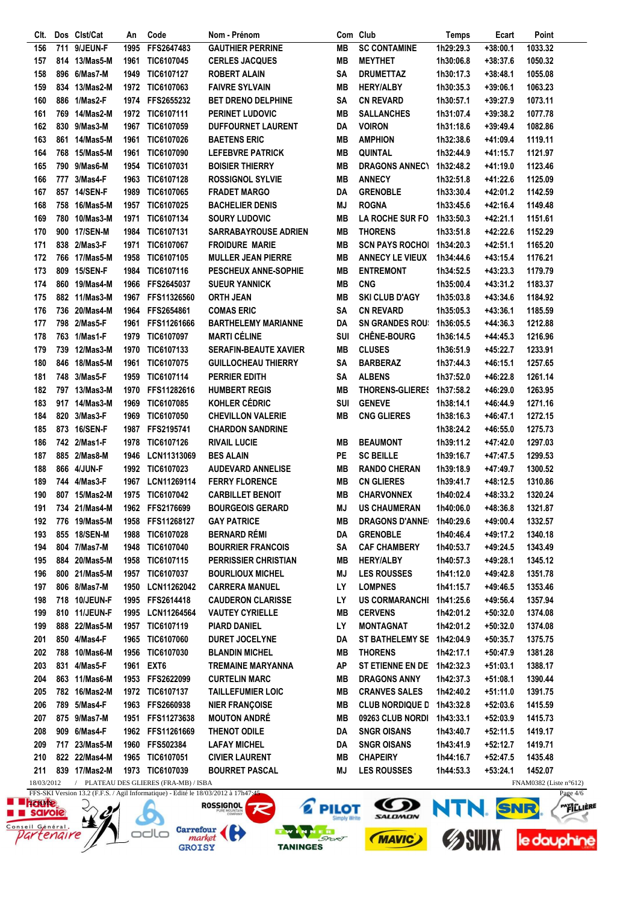| Clt.       |     | Dos Clst/Cat                   | An   | Code                                | Nom - Prénom                                                                      |                 | Com Club                                | <b>Temps</b> | Ecart      | Point                                          |
|------------|-----|--------------------------------|------|-------------------------------------|-----------------------------------------------------------------------------------|-----------------|-----------------------------------------|--------------|------------|------------------------------------------------|
| 156        | 711 | 9/JEUN-F                       | 1995 | FFS2647483                          | <b>GAUTHIER PERRINE</b>                                                           | MB              | <b>SC CONTAMINE</b>                     | 1h29:29.3    | $+38:00.1$ | 1033.32                                        |
| 157        |     | 814 13/Mas5-M                  | 1961 | TIC6107045                          | <b>CERLES JACQUES</b>                                                             | <b>MB</b>       | <b>MEYTHET</b>                          | 1h30:06.8    | +38:37.6   | 1050.32                                        |
| 158        |     | 896 6/Mas7-M                   | 1949 | TIC6107127                          | <b>ROBERT ALAIN</b>                                                               | <b>SA</b>       | <b>DRUMETTAZ</b>                        | 1h30:17.3    | +38:48.1   | 1055.08                                        |
| 159        |     | 834 13/Mas2-M                  |      | 1972 TIC6107063                     | <b>FAIVRE SYLVAIN</b>                                                             | <b>MB</b>       | <b>HERY/ALBY</b>                        | 1h30:35.3    | +39:06.1   | 1063.23                                        |
| 160        |     | 886 1/Mas2-F                   |      | 1974 FFS2655232                     | <b>BET DRENO DELPHINE</b>                                                         | <b>SA</b>       | <b>CN REVARD</b>                        | 1h30:57.1    | +39:27.9   | 1073.11                                        |
| 161        |     | 769 14/Mas2-M                  |      | 1972 TIC6107111                     | PERINET LUDOVIC                                                                   | <b>MB</b>       | <b>SALLANCHES</b>                       | 1h31:07.4    | +39:38.2   | 1077.78                                        |
| 162        |     | 830 9/Mas3-M                   | 1967 | TIC6107059                          | <b>DUFFOURNET LAURENT</b>                                                         | DA              | <b>VOIRON</b>                           | 1h31:18.6    | $+39:49.4$ | 1082.86                                        |
| 163        |     | 861 14/Mas5-M                  | 1961 | TIC6107026                          | <b>BAETENS ERIC</b>                                                               | MВ              | <b>AMPHION</b>                          | 1h32:38.6    | +41:09.4   | 1119.11                                        |
| 164        |     | 768 15/Mas5-M                  | 1961 | TIC6107090                          | <b>LEFEBVRE PATRICK</b>                                                           | <b>MB</b>       | <b>QUINTAL</b>                          | 1h32:44.9    | +41:15.7   | 1121.97                                        |
| 165        |     | 790 9/Mas6-M                   | 1954 | TIC6107031                          | <b>BOISIER THIERRY</b>                                                            | <b>MB</b>       | <b>DRAGONS ANNECY</b>                   | 1h32:48.2    | +41:19.0   | 1123.46                                        |
| 166        |     | 777 3/Mas4-F                   | 1963 | TIC6107128                          | <b>ROSSIGNOL SYLVIE</b>                                                           | <b>MB</b>       | <b>ANNECY</b>                           | 1h32:51.8    | +41:22.6   | 1125.09                                        |
| 167        |     | 857 14/SEN-F                   | 1989 | TIC6107065                          | <b>FRADET MARGO</b>                                                               | DA              | <b>GRENOBLE</b>                         | 1h33:30.4    | +42:01.2   | 1142.59                                        |
| 168        | 758 | 16/Mas5-M                      | 1957 | TIC6107025                          | <b>BACHELIER DENIS</b>                                                            | ΜJ              | <b>ROGNA</b>                            | 1h33:45.6    | +42:16.4   | 1149.48                                        |
| 169        |     | 780 10/Mas3-M                  | 1971 | TIC6107134                          | <b>SOURY LUDOVIC</b>                                                              | MВ              | <b>LA ROCHE SUR FO</b>                  | 1h33:50.3    | +42:21.1   | 1151.61                                        |
| 170        |     | 900 17/SEN-M                   | 1984 | <b>TIC6107131</b>                   | SARRABAYROUSE ADRIEN                                                              | MВ              | <b>THORENS</b>                          | 1h33:51.8    | +42:22.6   | 1152.29                                        |
| 171        |     | 838 2/Mas3-F                   | 1971 | <b>TIC6107067</b>                   | <b>FROIDURE MARIE</b>                                                             | <b>MB</b>       | <b>SCN PAYS ROCHOL</b>                  | 1h34:20.3    | $+42:51.1$ | 1165.20                                        |
| 172        |     | 766 17/Mas5-M                  | 1958 | TIC6107105                          | <b>MULLER JEAN PIERRE</b>                                                         | <b>MB</b>       | <b>ANNECY LE VIEUX</b>                  | 1h34:44.6    | $+43:15.4$ | 1176.21                                        |
| 173        |     | 809 15/SEN-F                   | 1984 | TIC6107116                          | <b>PESCHEUX ANNE-SOPHIE</b>                                                       | МB              | <b>ENTREMONT</b>                        | 1h34:52.5    | +43:23.3   | 1179.79                                        |
| 174        |     | 860 19/Mas4-M                  | 1966 | FFS2645037                          | <b>SUEUR YANNICK</b>                                                              | <b>MB</b>       | <b>CNG</b>                              | 1h35:00.4    | $+43:31.2$ | 1183.37                                        |
| 175        |     | 882 11/Mas3-M                  | 1967 | FFS11326560                         | <b>ORTH JEAN</b>                                                                  | <b>MB</b>       | <b>SKI CLUB D'AGY</b>                   | 1h35:03.8    | $+43:34.6$ | 1184.92                                        |
| 176        |     | 736 20/Mas4-M                  | 1964 | FFS2654861                          | <b>COMAS ERIC</b>                                                                 | <b>SA</b>       | <b>CN REVARD</b>                        | 1h35:05.3    | +43:36.1   | 1185.59                                        |
| 177        |     | 798 2/Mas5-F                   | 1961 | FFS11261666                         | <b>BARTHELEMY MARIANNE</b>                                                        | DA              | <b>SN GRANDES ROU:</b>                  | 1h36:05.5    | +44:36.3   | 1212.88                                        |
| 178        |     | 763 1/Mas1-F                   | 1979 | TIC6107097                          | <b>MARTI CÉLINE</b>                                                               | <b>SUI</b>      | <b>CHÊNE-BOURG</b>                      | 1h36:14.5    | +44:45.3   | 1216.96                                        |
| 179        |     | 739 12/Mas3-M                  | 1970 | TIC6107133                          | <b>SERAFIN-BEAUTE XAVIER</b>                                                      | MВ              | <b>CLUSES</b>                           | 1h36:51.9    | +45:22.7   | 1233.91                                        |
| 180        |     | 846 18/Mas5-M                  | 1961 | TIC6107075                          | <b>GUILLOCHEAU THIERRY</b>                                                        | <b>SA</b>       | <b>BARBERAZ</b>                         | 1h37:44.3    | +46:15.1   | 1257.65                                        |
| 181        |     | 748 3/Mas5-F                   | 1959 | TIC6107114                          | PERRIER EDITH                                                                     | <b>SA</b>       | <b>ALBENS</b>                           | 1h37:52.0    | +46:22.8   | 1261.14                                        |
| 182        |     | 797 13/Mas3-M                  | 1970 | FFS11282616                         | <b>HUMBERT REGIS</b>                                                              | MВ              | <b>THORENS-GLIERES</b>                  | 1h37:58.2    | +46:29.0   | 1263.95                                        |
| 183        |     | 917 14/Mas3-M                  | 1969 | TIC6107085                          | KOHLER CÉDRIC                                                                     | SUI             | <b>GENEVE</b>                           | 1h38:14.1    | +46:44.9   | 1271.16                                        |
| 184        |     | 820 3/Mas3-F                   | 1969 | TIC6107050                          | <b>CHEVILLON VALERIE</b>                                                          | <b>MB</b>       | <b>CNG GLIERES</b>                      | 1h38:16.3    | +46:47.1   | 1272.15                                        |
| 185        |     | 873 16/SEN-F                   | 1987 | FFS2195741                          | <b>CHARDON SANDRINE</b>                                                           |                 |                                         | 1h38:24.2    | +46:55.0   | 1275.73                                        |
| 186        |     | 742 2/Mas1-F                   | 1978 | TIC6107126                          | <b>RIVAIL LUCIE</b>                                                               | MВ              | <b>BEAUMONT</b>                         | 1h39:11.2    | +47:42.0   | 1297.03                                        |
| 187        |     | 885 2/Mas8-M                   | 1946 | LCN11313069                         | <b>BES ALAIN</b>                                                                  | PE              | <b>SC BEILLE</b>                        | 1h39:16.7    | +47:47.5   | 1299.53                                        |
| 188        |     | 866 4/JUN-F                    | 1992 | TIC6107023                          | <b>AUDEVARD ANNELISE</b>                                                          | <b>MB</b>       | <b>RANDO CHERAN</b>                     | 1h39:18.9    | +47:49.7   | 1300.52                                        |
| 189        |     | 744 4/Mas3-F                   | 1967 | LCN11269114                         | <b>FERRY FLORENCE</b>                                                             | <b>MB</b>       | <b>CN GLIERES</b>                       | 1h39:41.7    | +48:12.5   | 1310.86                                        |
| 190        |     | 807 15/Mas2-M                  |      | 1975 TIC6107042                     | <b>CARBILLET BENOIT</b>                                                           | <b>MB</b>       | <b>CHARVONNEX</b>                       | 1h40:02.4    | +48:33.2   | 1320.24                                        |
| 191        |     | 734 21/Mas4-M                  |      | 1962 FFS2176699                     | <b>BOURGEOIS GERARD</b>                                                           | MJ              | <b>US CHAUMERAN</b>                     | 1h40:06.0    | +48:36.8   | 1321.87                                        |
| 192        |     | 776 19/Mas5-M                  | 1958 | FFS11268127                         | <b>GAY PATRICE</b>                                                                | MВ              | <b>DRAGONS D'ANNE</b>                   | 1h40:29.6    | +49:00.4   | 1332.57                                        |
| 193        |     | 855 18/SEN-M                   | 1988 | <b>TIC6107028</b>                   | <b>BERNARD RÉMI</b>                                                               | DA              | <b>GRENOBLE</b>                         | 1h40:46.4    | +49:17.2   | 1340.18                                        |
| 194        |     | 804 7/Mas7-M                   | 1948 | TIC6107040                          | <b>BOURRIER FRANCOIS</b>                                                          | SΑ              | <b>CAF CHAMBERY</b>                     | 1h40:53.7    | +49:24.5   | 1343.49                                        |
| 195        |     | 884 20/Mas5-M                  | 1958 | TIC6107115                          | <b>PERRISSIER CHRISTIAN</b>                                                       | MВ              | <b>HERY/ALBY</b>                        | 1h40:57.3    | +49:28.1   | 1345.12                                        |
| 196        |     | 800 21/Mas5-M                  | 1957 | TIC6107037                          | <b>BOURLIOUX MICHEL</b>                                                           | <b>MJ</b>       | <b>LES ROUSSES</b>                      | 1h41:12.0    | +49:42.8   | 1351.78                                        |
|            |     | 806 8/Mas7-M                   |      |                                     | <b>CARRERA MANUEL</b>                                                             | LY              |                                         |              |            |                                                |
| 197        |     | 718 10/JEUN-F                  | 1950 | LCN11262042<br>FFS2614418           | <b>CAUDERON CLARISSE</b>                                                          | LY              | <b>LOMPNES</b><br><b>US CORMARANCHI</b> | 1h41:15.7    | +49:46.5   | 1353.46                                        |
| 198        |     |                                | 1995 |                                     |                                                                                   | MВ              |                                         | 1h41:25.6    | +49:56.4   | 1357.94<br>1374.08                             |
| 199        |     | 810 11/JEUN-F<br>888 22/Mas5-M | 1995 | LCN11264564                         | <b>VAUTEY CYRIELLE</b>                                                            | LY              | <b>CERVENS</b>                          | 1h42:01.2    | +50:32.0   | 1374.08                                        |
| 199        |     |                                | 1957 | TIC6107119                          | <b>PIARD DANIEL</b>                                                               |                 | <b>MONTAGNAT</b>                        | 1h42:01.2    | +50:32.0   |                                                |
| 201        |     | 850 4/Mas4-F                   | 1965 | TIC6107060                          | DURET JOCELYNE                                                                    | DA<br><b>MB</b> | ST BATHELEMY SE                         | 1h42:04.9    | +50:35.7   | 1375.75                                        |
| 202        |     | 788 10/Mas6-M<br>831 4/Mas5-F  | 1956 | TIC6107030                          | <b>BLANDIN MICHEL</b>                                                             | <b>AP</b>       | <b>THORENS</b>                          | 1h42:17.1    | +50:47.9   | 1381.28                                        |
| 203        |     |                                | 1961 | EXT <sub>6</sub>                    | TREMAINE MARYANNA                                                                 |                 | ST ETIENNE EN DE                        | 1h42:32.3    | +51:03.1   | 1388.17                                        |
| 204        |     | 863 11/Mas6-M<br>782 16/Mas2-M |      | 1953 FFS2622099                     | <b>CURTELIN MARC</b>                                                              | <b>MB</b>       | <b>DRAGONS ANNY</b>                     | 1h42:37.3    | +51:08.1   | 1390.44                                        |
| 205        |     |                                |      | 1972 TIC6107137                     | <b>TAILLEFUMIER LOIC</b>                                                          | MВ              | <b>CRANVES SALES</b>                    | 1h42:40.2    | +51:11.0   | 1391.75                                        |
| 206        |     | 789 5/Mas4-F                   |      | 1963 FFS2660938                     | <b>NIER FRANÇOISE</b>                                                             | MВ              | <b>CLUB NORDIQUE D</b>                  | 1h43:32.8    | +52:03.6   | 1415.59                                        |
| 207        |     | 875 9/Mas7-M                   |      | 1951 FFS11273638                    | <b>MOUTON ANDRÉ</b>                                                               | MВ              | 09263 CLUB NORDI                        | 1h43:33.1    | +52:03.9   | 1415.73                                        |
| 208        |     | 909 6/Mas4-F                   |      | 1962 FFS11261669                    | THENOT ODILE                                                                      | DA              | <b>SNGR OISANS</b>                      | 1h43:40.7    | +52:11.5   | 1419.17                                        |
| 209        |     | 717 23/Mas5-M                  |      | 1960 FFS502384                      | <b>LAFAY MICHEL</b>                                                               | DA              | <b>SNGR OISANS</b>                      | 1h43:41.9    | +52:12.7   | 1419.71                                        |
| 210        |     | 822 22/Mas4-M                  |      | 1965 TIC6107051                     | <b>CIVIER LAURENT</b>                                                             | MВ              | <b>CHAPEIRY</b>                         | 1h44:16.7    | +52:47.5   | 1435.48                                        |
| 211        |     | 839 17/Mas2-M                  |      | 1973 TIC6107039                     | <b>BOURRET PASCAL</b>                                                             | ΜJ              | <b>LES ROUSSES</b>                      | 1h44:53.3    | $+53:24.1$ | 1452.07                                        |
| 18/03/2012 |     |                                |      | PLATEAU DES GLIERES (FRA-MB) / ISBA | EES SKI Version 13.2 (E.E.S. / Agil Informationa). Editó la 18/03/2012 à 17h47.45 |                 |                                         |              |            | FNAM0382 (Liste $n^{\circ}612$ )<br>$D0$ $4/6$ |

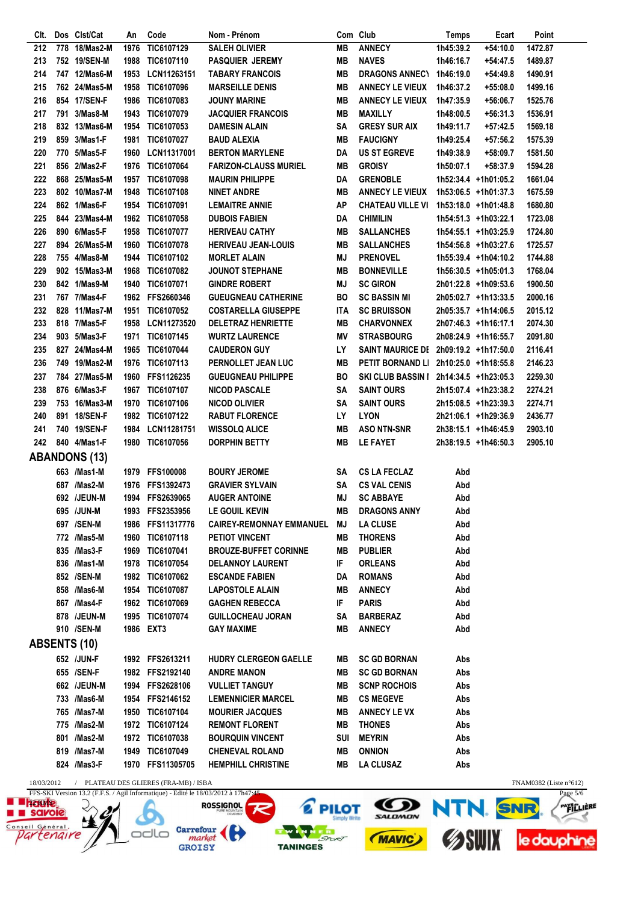| CIt.       |     | Dos Clst/Cat         | An   | Code                                  | Nom - Prénom                 |           | Com Club                 | Temps     | Ecart                | Point                  |
|------------|-----|----------------------|------|---------------------------------------|------------------------------|-----------|--------------------------|-----------|----------------------|------------------------|
| 212        | 778 | 18/Mas2-M            | 1976 | TIC6107129                            | <b>SALEH OLIVIER</b>         | <b>MB</b> | <b>ANNECY</b>            | 1h45:39.2 | $+54:10.0$           | 1472.87                |
| 213        |     | 752 19/SEN-M         | 1988 | TIC6107110                            | <b>PASQUIER JEREMY</b>       | <b>MB</b> | <b>NAVES</b>             | 1h46:16.7 | +54:47.5             | 1489.87                |
| 214        |     | 747 12/Mas6-M        | 1953 | LCN11263151                           | <b>TABARY FRANCOIS</b>       | <b>MB</b> | DRAGONS ANNEC\ 1h46:19.0 |           | $+54:49.8$           | 1490.91                |
| 215        |     | 762 24/Mas5-M        | 1958 | <b>TIC6107096</b>                     | <b>MARSEILLE DENIS</b>       | MВ        | <b>ANNECY LE VIEUX</b>   | 1h46:37.2 | $+55:08.0$           | 1499.16                |
| 216        |     | 854 17/SEN-F         |      | 1986 TIC6107083                       | <b>JOUNY MARINE</b>          | MВ        | <b>ANNECY LE VIEUX</b>   | 1h47:35.9 | $+56:06.7$           | 1525.76                |
| 217        |     | 791 3/Mas8-M         | 1943 | TIC6107079                            | <b>JACQUIER FRANCOIS</b>     | MВ        | <b>MAXILLY</b>           | 1h48:00.5 | $+56:31.3$           | 1536.91                |
| 218        |     | 832 13/Mas6-M        |      | 1954 TIC6107053                       | <b>DAMESIN ALAIN</b>         | SA        | <b>GRESY SUR AIX</b>     | 1h49:11.7 | +57:42.5             | 1569.18                |
| 219        |     | 859 3/Mas1-F         | 1981 | <b>TIC6107027</b>                     | <b>BAUD ALEXIA</b>           | MВ        | <b>FAUCIGNY</b>          |           | +57:56.2             | 1575.39                |
|            |     |                      |      |                                       |                              |           |                          | 1h49:25.4 |                      |                        |
| 220        |     | 770 5/Mas5-F         | 1960 | LCN11317001                           | <b>BERTON MARYLENE</b>       | DA        | <b>US ST EGREVE</b>      | 1h49:38.9 | $+58:09.7$           | 1581.50                |
| 221        |     | 856 2/Mas2-F         | 1976 | <b>TIC6107064</b>                     | <b>FARIZON-CLAUSS MURIEL</b> | MВ        | <b>GROISY</b>            | 1h50:07.1 | +58:37.9             | 1594.28                |
| 222        |     | 868 25/Mas5-M        | 1957 | TIC6107098                            | <b>MAURIN PHILIPPE</b>       | DA        | <b>GRENOBLE</b>          |           | 1h52:34.4 +1h01:05.2 | 1661.04                |
| 223        |     | 802 10/Mas7-M        | 1948 | TIC6107108                            | <b>NINET ANDRE</b>           | MВ        | <b>ANNECY LE VIEUX</b>   |           | 1h53:06.5 +1h01:37.3 | 1675.59                |
| 224        |     | 862 1/Mas6-F         | 1954 | TIC6107091                            | <b>LEMAITRE ANNIE</b>        | АP        | <b>CHATEAU VILLE VI</b>  |           | 1h53:18.0 +1h01:48.8 | 1680.80                |
| 225        |     | 844 23/Mas4-M        |      | 1962 TIC6107058                       | <b>DUBOIS FABIEN</b>         | DA        | <b>CHIMILIN</b>          |           | 1h54:51.3 +1h03:22.1 | 1723.08                |
| 226        |     | 890 6/Mas5-F         | 1958 | <b>TIC6107077</b>                     | <b>HERIVEAU CATHY</b>        | MВ        | <b>SALLANCHES</b>        |           | 1h54:55.1 +1h03:25.9 | 1724.80                |
| 227        |     | 894 26/Mas5-M        | 1960 | <b>TIC6107078</b>                     | <b>HERIVEAU JEAN-LOUIS</b>   | MВ        | <b>SALLANCHES</b>        |           | 1h54:56.8 +1h03:27.6 | 1725.57                |
| 228        |     | 755 4/Mas8-M         | 1944 | TIC6107102                            | <b>MORLET ALAIN</b>          | MJ        | <b>PRENOVEL</b>          |           | 1h55:39.4 +1h04:10.2 | 1744.88                |
| 229        |     | 902 15/Mas3-M        | 1968 | TIC6107082                            | <b>JOUNOT STEPHANE</b>       | MВ        | <b>BONNEVILLE</b>        |           | 1h56:30.5 +1h05:01.3 | 1768.04                |
| 230        |     | 842 1/Mas9-M         | 1940 | <b>TIC6107071</b>                     | <b>GINDRE ROBERT</b>         | MJ        | <b>SC GIRON</b>          |           | 2h01:22.8 +1h09:53.6 | 1900.50                |
| 231        |     | 767 7/Mas4-F         |      | 1962 FFS2660346                       | <b>GUEUGNEAU CATHERINE</b>   | BO        | <b>SC BASSIN MI</b>      |           | 2h05:02.7 +1h13:33.5 | 2000.16                |
| 232        |     | 828 11/Mas7-M        |      | 1951 TIC6107052                       | <b>COSTARELLA GIUSEPPE</b>   | ITA       | <b>SC BRUISSON</b>       |           | 2h05:35.7 +1h14:06.5 | 2015.12                |
| 233        |     | 818 7/Mas5-F         | 1958 | LCN11273520                           | <b>DELETRAZ HENRIETTE</b>    | MВ        | <b>CHARVONNEX</b>        |           | 2h07:46.3 +1h16:17.1 | 2074.30                |
| 234        |     | 903 5/Mas3-F         | 1971 | TIC6107145                            | <b>WURTZ LAURENCE</b>        | ΜV        | <b>STRASBOURG</b>        |           | 2h08:24.9 +1h16:55.7 | 2091.80                |
|            |     |                      |      |                                       |                              |           |                          |           |                      |                        |
| 235        |     | 827 24/Mas4-M        | 1965 | TIC6107044                            | <b>CAUDERON GUY</b>          | LY        | <b>SAINT MAURICE DE</b>  |           | 2h09:19.2 +1h17:50.0 | 2116.41                |
| 236        |     | 749 19/Mas2-M        |      | 1976 TIC6107113                       | PERNOLLET JEAN LUC           | MВ        | PETIT BORNAND LI         |           | 2h10:25.0 +1h18:55.8 | 2146.23                |
| 237        |     | 784 27/Mas5-M        | 1960 | <b>FFS1126235</b>                     | <b>GUEUGNEAU PHILIPPE</b>    | BO        | <b>SKI CLUB BASSIN I</b> |           | 2h14:34.5 +1h23:05.3 | 2259.30                |
| 238        |     | 876 6/Mas3-F         |      | 1967 TIC6107107                       | <b>NICOD PASCALE</b>         | SΑ        | <b>SAINT OURS</b>        |           | 2h15:07.4 +1h23:38.2 | 2274.21                |
| 239        |     | 753 16/Mas3-M        |      | 1970 TIC6107106                       | <b>NICOD OLIVIER</b>         | SA        | <b>SAINT OURS</b>        |           | 2h15:08.5 +1h23:39.3 | 2274.71                |
| 240        |     | 891 18/SEN-F         |      | 1982 TIC6107122                       | <b>RABUT FLORENCE</b>        | LY        | <b>LYON</b>              |           | 2h21:06.1 +1h29:36.9 | 2436.77                |
| 241        |     | 740 19/SEN-F         |      | 1984 LCN11281751                      | <b>WISSOLQ ALICE</b>         | MВ        | <b>ASO NTN-SNR</b>       |           | 2h38:15.1 +1h46:45.9 | 2903.10                |
| 242        |     | 840 4/Mas1-F         | 1980 | TIC6107056                            | <b>DORPHIN BETTY</b>         | MВ        | <b>LE FAYET</b>          |           | 2h38:19.5 +1h46:50.3 | 2905.10                |
|            |     | <b>ABANDONS (13)</b> |      |                                       |                              |           |                          |           |                      |                        |
|            |     | 663 /Mas1-M          |      | 1979 FFS100008                        | <b>BOURY JEROME</b>          | SΑ        | <b>CS LA FECLAZ</b>      | Abd       |                      |                        |
|            |     | 687 / Mas 2-M        |      | 1976 FFS1392473                       | <b>GRAVIER SYLVAIN</b>       | SΑ        | <b>CS VAL CENIS</b>      | Abd       |                      |                        |
|            |     | 692 /JEUN-M          |      | 1994 FFS2639065                       | <b>AUGER ANTOINE</b>         | MJ        | <b>SC ABBAYE</b>         | Abd       |                      |                        |
|            |     | 695 /JUN-M           |      | 1993 FFS2353956                       | LE GOUIL KEVIN               | MВ        | <b>DRAGONS ANNY</b>      | Abd       |                      |                        |
|            |     |                      |      |                                       |                              |           |                          |           |                      |                        |
|            |     | 697 /SEN-M           |      | 1986 FFS11317776                      | CAIREY-REMONNAY EMMANUEL MJ  |           | <b>LA CLUSE</b>          | Abd       |                      |                        |
|            |     | 772 /Mas5-M          |      | 1960 TIC6107118                       | PETIOT VINCENT               | MB        | <b>THORENS</b>           | Abd       |                      |                        |
|            |     | 835 / Mas 3-F        |      | 1969 TIC6107041                       | <b>BROUZE-BUFFET CORINNE</b> | MВ        | Publier                  | Abd       |                      |                        |
|            |     | 836 /Mas1-M          |      | 1978 TIC6107054                       | <b>DELANNOY LAURENT</b>      | IF        | <b>ORLEANS</b>           | Abd       |                      |                        |
|            |     | 852 /SEN-M           |      | 1982 TIC6107062                       | <b>ESCANDE FABIEN</b>        | DA        | <b>ROMANS</b>            | Abd       |                      |                        |
|            |     | 858 / Mas6-M         |      | 1954 TIC6107087                       | <b>LAPOSTOLE ALAIN</b>       | MB.       | <b>ANNECY</b>            | Abd       |                      |                        |
|            |     | 867 / Mas4-F         |      | 1962 TIC6107069                       | <b>GAGHEN REBECCA</b>        | IF.       | <b>PARIS</b>             | Abd       |                      |                        |
|            |     | 878 /JEUN-M          |      | 1995 TIC6107074                       | <b>GUILLOCHEAU JORAN</b>     | SA        | <b>BARBERAZ</b>          | Abd       |                      |                        |
|            |     | 910 /SEN-M           |      | 1986 EXT3                             | <b>GAY MAXIME</b>            | MВ        | <b>ANNECY</b>            | Abd       |                      |                        |
|            |     | <b>ABSENTS (10)</b>  |      |                                       |                              |           |                          |           |                      |                        |
|            |     | 652 /JUN-F           |      | 1992 FFS2613211                       | HUDRY CLERGEON GAELLE        | MB        | <b>SC GD BORNAN</b>      | Abs       |                      |                        |
|            |     | 655 /SEN-F           |      | 1982 FFS2192140                       | <b>ANDRE MANON</b>           | MB.       | <b>SC GD BORNAN</b>      | Abs       |                      |                        |
|            |     |                      |      |                                       |                              |           |                          |           |                      |                        |
|            |     | 662 /JEUN-M          |      | 1994 FFS2628106                       | <b>VULLIET TANGUY</b>        | MB        | <b>SCNP ROCHOIS</b>      | Abs       |                      |                        |
|            |     | 733 /Mas6-M          |      | 1954 FFS2146152                       | <b>LEMENNICIER MARCEL</b>    | MB        | <b>CS MEGEVE</b>         | Abs       |                      |                        |
|            |     | 765 /Mas7-M          |      | 1950 TIC6107104                       | <b>MOURIER JACQUES</b>       | MB        | <b>ANNECY LE VX</b>      | Abs       |                      |                        |
|            |     | 775 /Mas2-M          |      | 1972 TIC6107124                       | <b>REMONT FLORENT</b>        | MB        | THONES                   | Abs       |                      |                        |
|            |     | 801 / Mas 2-M        |      | 1972 TIC6107038                       | <b>BOURQUIN VINCENT</b>      |           | SUI MEYRIN               | Abs       |                      |                        |
|            |     | 819 / Mas 7-M        |      | 1949 TIC6107049                       | <b>CHENEVAL ROLAND</b>       | MB        | <b>ONNION</b>            | Abs       |                      |                        |
|            |     | 824 / Mas 3-F        |      | 1970 FFS11305705                      | <b>HEMPHILL CHRISTINE</b>    | MB        | <b>LA CLUSAZ</b>         | Abs       |                      |                        |
| 18/03/2012 |     |                      |      | / PLATEAU DES GLIERES (FRA-MB) / ISBA |                              |           |                          |           |                      | FNAM0382 (Liste n°612) |
| EEC CIZIAL |     |                      |      |                                       | $10/02/0010 \times 171.17.4$ |           |                          |           |                      |                        |